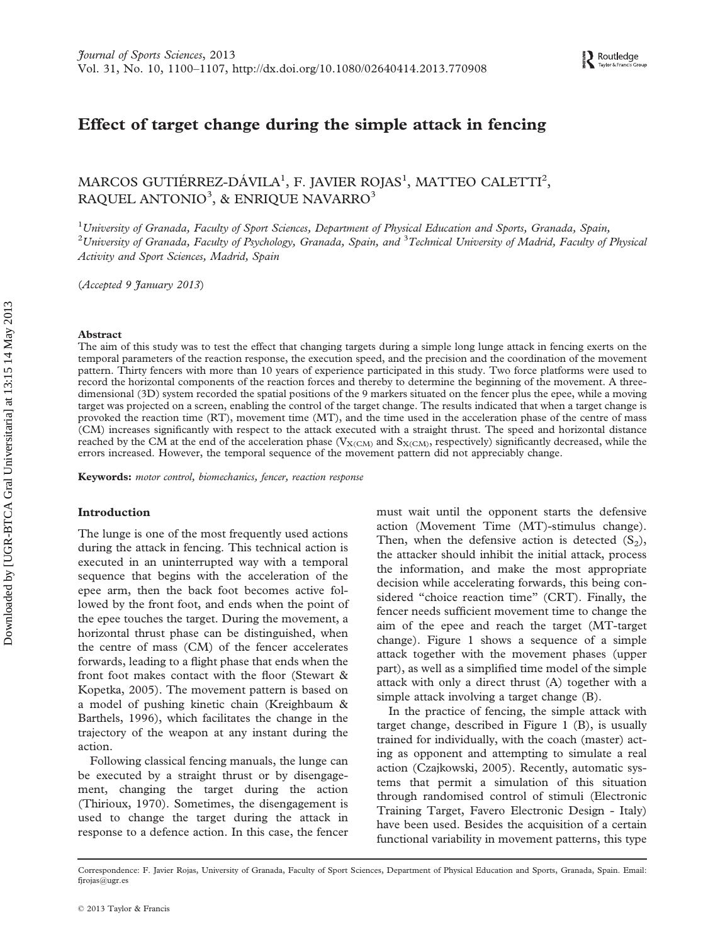## Effect of target change during the simple attack in fencing

# MARCOS GUTIÉRREZ-DÁVILA<sup>1</sup>, F. JAVIER ROJAS<sup>1</sup>, MATTEO CALETTI<sup>2</sup>, RAQUEL ANTONIO<sup>3</sup>, & ENRIQUE NAVARRO<sup>3</sup>

<sup>1</sup>University of Granada, Faculty of Sport Sciences, Department of Physical Education and Sports, Granada, Spain,  $^2$ University of Granada, Faculty of Psychology, Granada, Spain, and  $^3$ Technical University of Madrid, Faculty of Physical Activity and Sport Sciences, Madrid, Spain

(Accepted 9 January 2013)

#### Abstract

The aim of this study was to test the effect that changing targets during a simple long lunge attack in fencing exerts on the temporal parameters of the reaction response, the execution speed, and the precision and the coordination of the movement pattern. Thirty fencers with more than 10 years of experience participated in this study. Two force platforms were used to record the horizontal components of the reaction forces and thereby to determine the beginning of the movement. A threedimensional (3D) system recorded the spatial positions of the 9 markers situated on the fencer plus the epee, while a moving target was projected on a screen, enabling the control of the target change. The results indicated that when a target change is provoked the reaction time (RT), movement time (MT), and the time used in the acceleration phase of the centre of mass (CM) increases significantly with respect to the attack executed with a straight thrust. The speed and horizontal distance reached by the CM at the end of the acceleration phase ( $V_{X(CM)}$  and  $S_{X(CM)}$ , respectively) significantly decreased, while the errors increased. However, the temporal sequence of the movement pattern did not appreciably change.

Keywords: motor control, biomechanics, fencer, reaction response

## Introduction

The lunge is one of the most frequently used actions during the attack in fencing. This technical action is executed in an uninterrupted way with a temporal sequence that begins with the acceleration of the epee arm, then the back foot becomes active followed by the front foot, and ends when the point of the epee touches the target. During the movement, a horizontal thrust phase can be distinguished, when the centre of mass (CM) of the fencer accelerates forwards, leading to a flight phase that ends when the front foot makes contact with the floor (Stewart & Kopetka, 2005). The movement pattern is based on a model of pushing kinetic chain (Kreighbaum & Barthels, 1996), which facilitates the change in the trajectory of the weapon at any instant during the action.

Following classical fencing manuals, the lunge can be executed by a straight thrust or by disengagement, changing the target during the action (Thirioux, 1970). Sometimes, the disengagement is used to change the target during the attack in response to a defence action. In this case, the fencer

must wait until the opponent starts the defensive action (Movement Time (MT)-stimulus change). Then, when the defensive action is detected  $(S_2)$ , the attacker should inhibit the initial attack, process the information, and make the most appropriate decision while accelerating forwards, this being considered "choice reaction time" (CRT). Finally, the fencer needs sufficient movement time to change the aim of the epee and reach the target (MT-target change). Figure 1 shows a sequence of a simple attack together with the movement phases (upper part), as well as a simplified time model of the simple attack with only a direct thrust (A) together with a simple attack involving a target change (B).

In the practice of fencing, the simple attack with target change, described in Figure 1 (B), is usually trained for individually, with the coach (master) acting as opponent and attempting to simulate a real action (Czajkowski, 2005). Recently, automatic systems that permit a simulation of this situation through randomised control of stimuli (Electronic Training Target, Favero Electronic Design - Italy) have been used. Besides the acquisition of a certain functional variability in movement patterns, this type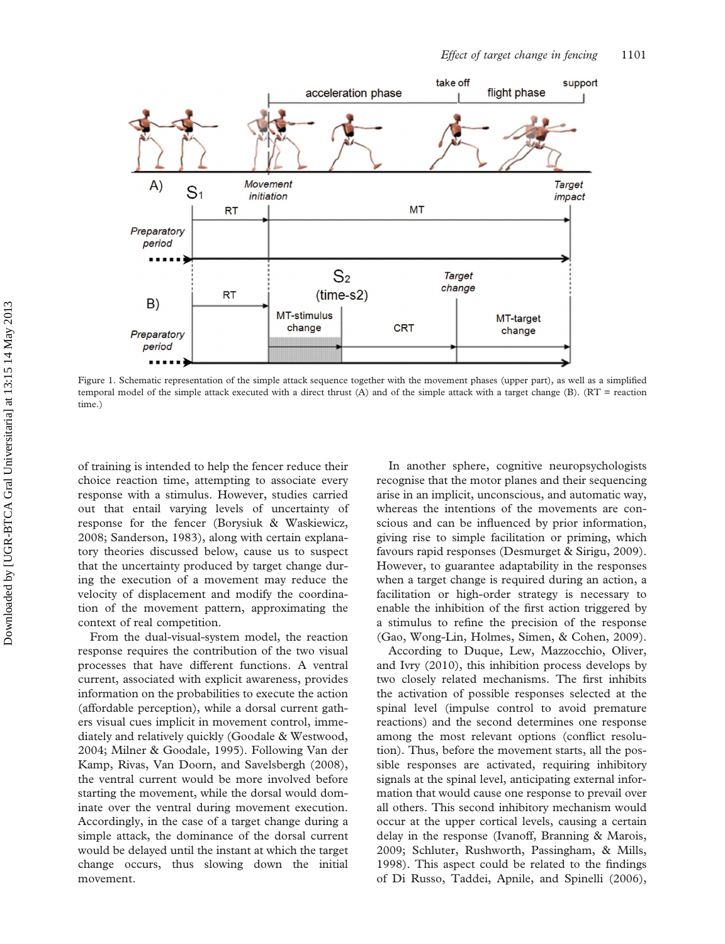

Figure 1. Schematic representation of the simple attack sequence together with the movement phases (upper part), as well as a simplified temporal model of the simple attack executed with a direct thrust  $(A)$  and of the simple attack with a target change  $(B)$ .  $(RT =$  reaction time.)

of training is intended to help the fencer reduce their choice reaction time, attempting to associate every response with a stimulus. However, studies carried out that entail varying levels of uncertainty of response for the fencer (Borysiuk & Waskiewicz, 2008; Sanderson, 1983), along with certain explanatory theories discussed below, cause us to suspect that the uncertainty produced by target change during the execution of a movement may reduce the velocity of displacement and modify the coordination of the movement pattern, approximating the context of real competition.

From the dual-visual-system model, the reaction response requires the contribution of the two visual processes that have different functions. A ventral current, associated with explicit awareness, provides information on the probabilities to execute the action (affordable perception), while a dorsal current gathers visual cues implicit in movement control, immediately and relatively quickly (Goodale & Westwood, 2004; Milner & Goodale, 1995). Following Van der Kamp, Rivas, Van Doorn, and Savelsbergh (2008), the ventral current would be more involved before starting the movement, while the dorsal would dominate over the ventral during movement execution. Accordingly, in the case of a target change during a simple attack, the dominance of the dorsal current would be delayed until the instant at which the target change occurs, thus slowing down the initial movement.

In another sphere, cognitive neuropsychologists recognise that the motor planes and their sequencing arise in an implicit, unconscious, and automatic way, whereas the intentions of the movements are conscious and can be influenced by prior information, giving rise to simple facilitation or priming, which favours rapid responses (Desmurget & Sirigu, 2009). However, to guarantee adaptability in the responses when a target change is required during an action, a facilitation or high-order strategy is necessary to enable the inhibition of the first action triggered by a stimulus to refine the precision of the response (Gao, Wong-Lin, Holmes, Simen, & Cohen, 2009).

According to Duque, Lew, Mazzocchio, Oliver, and Ivry (2010), this inhibition process develops by two closely related mechanisms. The first inhibits the activation of possible responses selected at the spinal level (impulse control to avoid premature reactions) and the second determines one response among the most relevant options (conflict resolution). Thus, before the movement starts, all the possible responses are activated, requiring inhibitory signals at the spinal level, anticipating external information that would cause one response to prevail over all others. This second inhibitory mechanism would occur at the upper cortical levels, causing a certain delay in the response (Ivanoff, Branning & Marois, 2009; Schluter, Rushworth, Passingham, & Mills, 1998). This aspect could be related to the findings of Di Russo, Taddei, Apnile, and Spinelli (2006),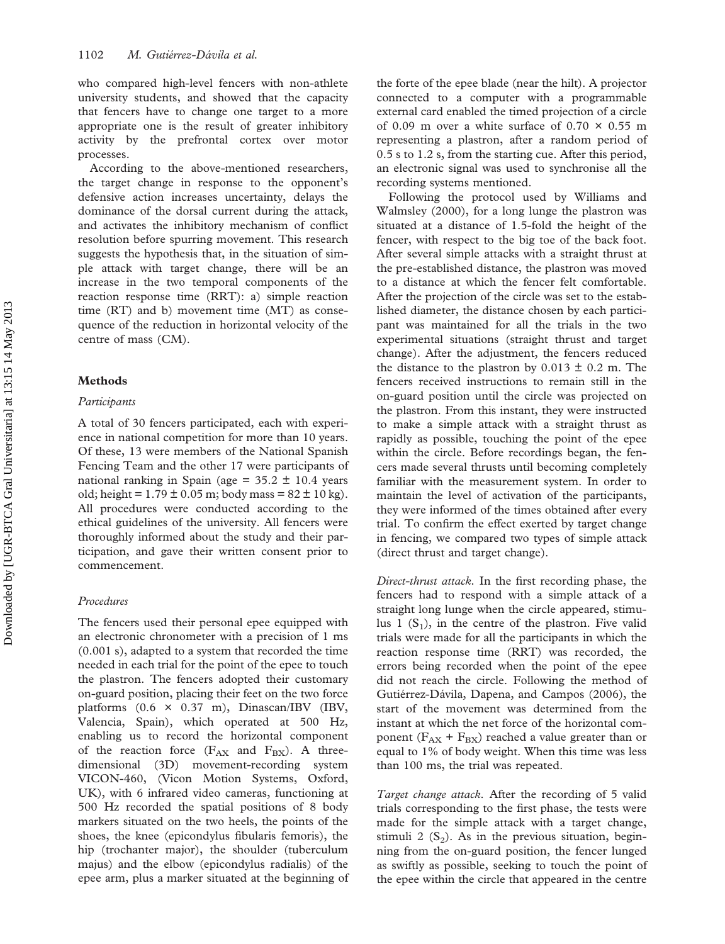who compared high-level fencers with non-athlete university students, and showed that the capacity that fencers have to change one target to a more appropriate one is the result of greater inhibitory activity by the prefrontal cortex over motor processes.

According to the above-mentioned researchers, the target change in response to the opponent's defensive action increases uncertainty, delays the dominance of the dorsal current during the attack, and activates the inhibitory mechanism of conflict resolution before spurring movement. This research suggests the hypothesis that, in the situation of simple attack with target change, there will be an increase in the two temporal components of the reaction response time (RRT): a) simple reaction time (RT) and b) movement time (MT) as consequence of the reduction in horizontal velocity of the centre of mass (CM).

## Methods

## Participants

A total of 30 fencers participated, each with experience in national competition for more than 10 years. Of these, 13 were members of the National Spanish Fencing Team and the other 17 were participants of national ranking in Spain (age =  $35.2 \pm 10.4$  years old; height =  $1.79 \pm 0.05$  m; body mass =  $82 \pm 10$  kg). All procedures were conducted according to the ethical guidelines of the university. All fencers were thoroughly informed about the study and their participation, and gave their written consent prior to commencement.

#### Procedures

The fencers used their personal epee equipped with an electronic chronometer with a precision of 1 ms (0.001 s), adapted to a system that recorded the time needed in each trial for the point of the epee to touch the plastron. The fencers adopted their customary on-guard position, placing their feet on the two force platforms (0.6 × 0.37 m), Dinascan/IBV (IBV, Valencia, Spain), which operated at 500 Hz, enabling us to record the horizontal component of the reaction force  $(F_{AX}$  and  $F_{BX})$ . A threedimensional (3D) movement-recording system VICON-460, (Vicon Motion Systems, Oxford, UK), with 6 infrared video cameras, functioning at 500 Hz recorded the spatial positions of 8 body markers situated on the two heels, the points of the shoes, the knee (epicondylus fibularis femoris), the hip (trochanter major), the shoulder (tuberculum majus) and the elbow (epicondylus radialis) of the epee arm, plus a marker situated at the beginning of the forte of the epee blade (near the hilt). A projector connected to a computer with a programmable external card enabled the timed projection of a circle of 0.09 m over a white surface of 0.70  $\times$  0.55 m representing a plastron, after a random period of 0.5 s to 1.2 s, from the starting cue. After this period, an electronic signal was used to synchronise all the recording systems mentioned.

Following the protocol used by Williams and Walmsley (2000), for a long lunge the plastron was situated at a distance of 1.5-fold the height of the fencer, with respect to the big toe of the back foot. After several simple attacks with a straight thrust at the pre-established distance, the plastron was moved to a distance at which the fencer felt comfortable. After the projection of the circle was set to the established diameter, the distance chosen by each participant was maintained for all the trials in the two experimental situations (straight thrust and target change). After the adjustment, the fencers reduced the distance to the plastron by  $0.013 \pm 0.2$  m. The fencers received instructions to remain still in the on-guard position until the circle was projected on the plastron. From this instant, they were instructed to make a simple attack with a straight thrust as rapidly as possible, touching the point of the epee within the circle. Before recordings began, the fencers made several thrusts until becoming completely familiar with the measurement system. In order to maintain the level of activation of the participants, they were informed of the times obtained after every trial. To confirm the effect exerted by target change in fencing, we compared two types of simple attack (direct thrust and target change).

Direct-thrust attack. In the first recording phase, the fencers had to respond with a simple attack of a straight long lunge when the circle appeared, stimulus 1  $(S_1)$ , in the centre of the plastron. Five valid trials were made for all the participants in which the reaction response time (RRT) was recorded, the errors being recorded when the point of the epee did not reach the circle. Following the method of Gutiérrez-Dávila, Dapena, and Campos (2006), the start of the movement was determined from the instant at which the net force of the horizontal component ( $F_{AX}$  +  $F_{BX}$ ) reached a value greater than or equal to 1% of body weight. When this time was less than 100 ms, the trial was repeated.

Target change attack. After the recording of 5 valid trials corresponding to the first phase, the tests were made for the simple attack with a target change, stimuli 2  $(S_2)$ . As in the previous situation, beginning from the on-guard position, the fencer lunged as swiftly as possible, seeking to touch the point of the epee within the circle that appeared in the centre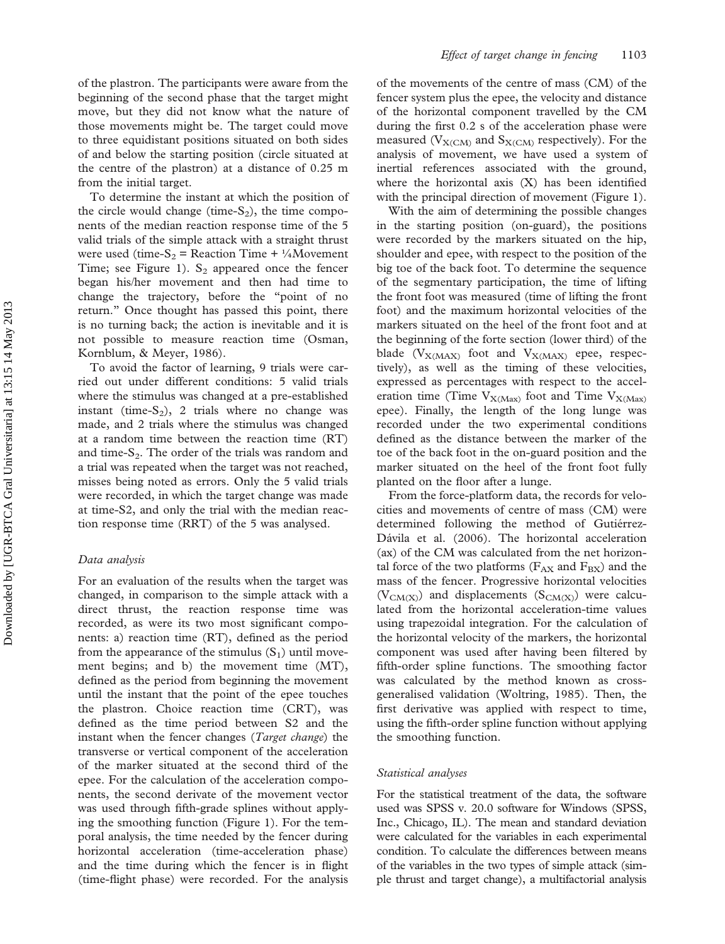of the plastron. The participants were aware from the beginning of the second phase that the target might move, but they did not know what the nature of those movements might be. The target could move to three equidistant positions situated on both sides of and below the starting position (circle situated at the centre of the plastron) at a distance of 0.25 m from the initial target.

To determine the instant at which the position of the circle would change (time- $S_2$ ), the time components of the median reaction response time of the 5 valid trials of the simple attack with a straight thrust were used (time- $S_2$  = Reaction Time +  $\frac{1}{4}$ Movement Time; see Figure 1).  $S_2$  appeared once the fencer began his/her movement and then had time to change the trajectory, before the "point of no return." Once thought has passed this point, there is no turning back; the action is inevitable and it is not possible to measure reaction time (Osman, Kornblum, & Meyer, 1986).

To avoid the factor of learning, 9 trials were carried out under different conditions: 5 valid trials where the stimulus was changed at a pre-established instant (time- $S_2$ ), 2 trials where no change was made, and 2 trials where the stimulus was changed at a random time between the reaction time (RT) and time- $S_2$ . The order of the trials was random and a trial was repeated when the target was not reached, misses being noted as errors. Only the 5 valid trials were recorded, in which the target change was made at time-S2, and only the trial with the median reaction response time (RRT) of the 5 was analysed.

## Data analysis

For an evaluation of the results when the target was changed, in comparison to the simple attack with a direct thrust, the reaction response time was recorded, as were its two most significant components: a) reaction time (RT), defined as the period from the appearance of the stimulus  $(S_1)$  until movement begins; and b) the movement time (MT), defined as the period from beginning the movement until the instant that the point of the epee touches the plastron. Choice reaction time (CRT), was defined as the time period between S2 and the instant when the fencer changes (Target change) the transverse or vertical component of the acceleration of the marker situated at the second third of the epee. For the calculation of the acceleration components, the second derivate of the movement vector was used through fifth-grade splines without applying the smoothing function (Figure 1). For the temporal analysis, the time needed by the fencer during horizontal acceleration (time-acceleration phase) and the time during which the fencer is in flight (time-flight phase) were recorded. For the analysis

of the movements of the centre of mass (CM) of the fencer system plus the epee, the velocity and distance of the horizontal component travelled by the CM during the first 0.2 s of the acceleration phase were measured ( $V_{X(CM)}$  and  $S_{X(CM)}$  respectively). For the analysis of movement, we have used a system of inertial references associated with the ground, where the horizontal axis (X) has been identified with the principal direction of movement (Figure 1).

With the aim of determining the possible changes in the starting position (on-guard), the positions were recorded by the markers situated on the hip, shoulder and epee, with respect to the position of the big toe of the back foot. To determine the sequence of the segmentary participation, the time of lifting the front foot was measured (time of lifting the front foot) and the maximum horizontal velocities of the markers situated on the heel of the front foot and at the beginning of the forte section (lower third) of the blade  $(V_{X(MAX)}$  foot and  $V_{X(MAX)}$  epee, respectively), as well as the timing of these velocities, expressed as percentages with respect to the acceleration time (Time  $V_{X(Max)}$  foot and Time  $V_{X(Max)}$ epee). Finally, the length of the long lunge was recorded under the two experimental conditions defined as the distance between the marker of the toe of the back foot in the on-guard position and the marker situated on the heel of the front foot fully planted on the floor after a lunge.

From the force-platform data, the records for velocities and movements of centre of mass (CM) were determined following the method of Gutiérrez-Dávila et al. (2006). The horizontal acceleration (ax) of the CM was calculated from the net horizontal force of the two platforms ( $F_{AX}$  and  $F_{BX}$ ) and the mass of the fencer. Progressive horizontal velocities  $(V_{CM(X)})$  and displacements  $(S_{CM(X)})$  were calculated from the horizontal acceleration-time values using trapezoidal integration. For the calculation of the horizontal velocity of the markers, the horizontal component was used after having been filtered by fifth-order spline functions. The smoothing factor was calculated by the method known as crossgeneralised validation (Woltring, 1985). Then, the first derivative was applied with respect to time, using the fifth-order spline function without applying the smoothing function.

#### Statistical analyses

For the statistical treatment of the data, the software used was SPSS v. 20.0 software for Windows (SPSS, Inc., Chicago, IL). The mean and standard deviation were calculated for the variables in each experimental condition. To calculate the differences between means of the variables in the two types of simple attack (simple thrust and target change), a multifactorial analysis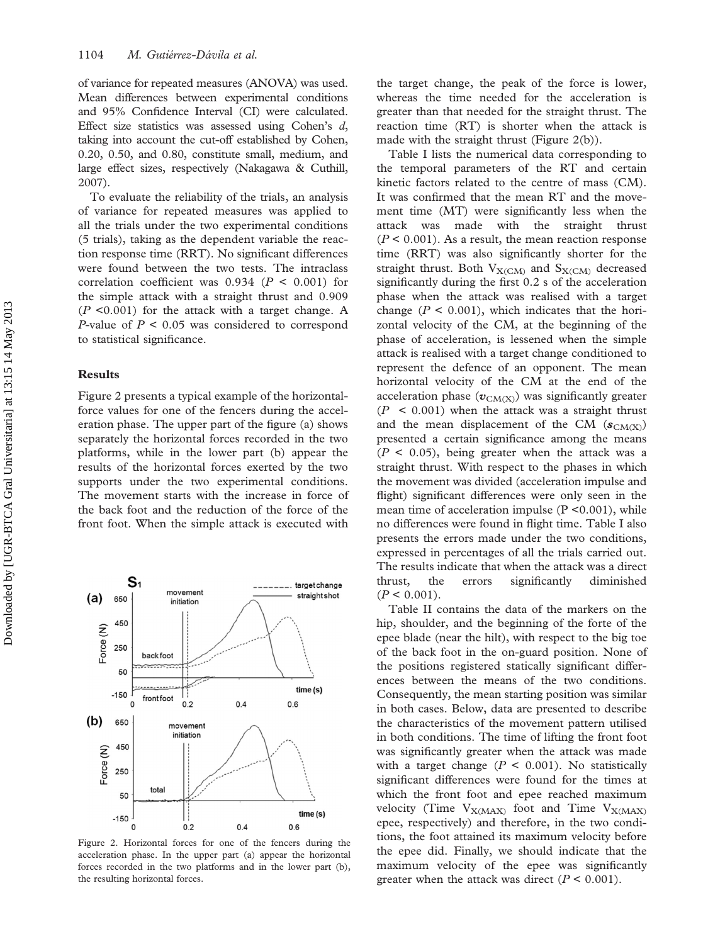of variance for repeated measures (ANOVA) was used. Mean differences between experimental conditions and 95% Confidence Interval (CI) were calculated. Effect size statistics was assessed using Cohen's d, taking into account the cut-off established by Cohen, 0.20, 0.50, and 0.80, constitute small, medium, and large effect sizes, respectively (Nakagawa & Cuthill, 2007).

To evaluate the reliability of the trials, an analysis of variance for repeated measures was applied to all the trials under the two experimental conditions (5 trials), taking as the dependent variable the reaction response time (RRT). No significant differences were found between the two tests. The intraclass correlation coefficient was  $0.934$  ( $P < 0.001$ ) for the simple attack with a straight thrust and 0.909  $(P \le 0.001)$  for the attack with a target change. A *P*-value of  $P < 0.05$  was considered to correspond to statistical significance.

#### Results

Figure 2 presents a typical example of the horizontalforce values for one of the fencers during the acceleration phase. The upper part of the figure (a) shows separately the horizontal forces recorded in the two platforms, while in the lower part (b) appear the results of the horizontal forces exerted by the two supports under the two experimental conditions. The movement starts with the increase in force of the back foot and the reduction of the force of the front foot. When the simple attack is executed with



Figure 2. Horizontal forces for one of the fencers during the acceleration phase. In the upper part (a) appear the horizontal forces recorded in the two platforms and in the lower part (b), the resulting horizontal forces.

the target change, the peak of the force is lower, whereas the time needed for the acceleration is greater than that needed for the straight thrust. The reaction time (RT) is shorter when the attack is made with the straight thrust (Figure 2(b)).

Table I lists the numerical data corresponding to the temporal parameters of the RT and certain kinetic factors related to the centre of mass (CM). It was confirmed that the mean RT and the movement time (MT) were significantly less when the attack was made with the straight thrust  $(P < 0.001)$ . As a result, the mean reaction response time (RRT) was also significantly shorter for the straight thrust. Both  $V_{X(CM)}$  and  $S_{X(CM)}$  decreased significantly during the first 0.2 s of the acceleration phase when the attack was realised with a target change  $(P < 0.001)$ , which indicates that the horizontal velocity of the CM, at the beginning of the phase of acceleration, is lessened when the simple attack is realised with a target change conditioned to represent the defence of an opponent. The mean horizontal velocity of the CM at the end of the acceleration phase  $(v_{CM(X)})$  was significantly greater  $(P < 0.001)$  when the attack was a straight thrust and the mean displacement of the CM  $(s_{CM(X)})$ presented a certain significance among the means  $(P < 0.05)$ , being greater when the attack was a straight thrust. With respect to the phases in which the movement was divided (acceleration impulse and flight) significant differences were only seen in the mean time of acceleration impulse  $(P \le 0.001)$ , while no differences were found in flight time. Table I also presents the errors made under the two conditions, expressed in percentages of all the trials carried out. The results indicate that when the attack was a direct thrust, the errors significantly diminished  $(P < 0.001)$ .

Table II contains the data of the markers on the hip, shoulder, and the beginning of the forte of the epee blade (near the hilt), with respect to the big toe of the back foot in the on-guard position. None of the positions registered statically significant differences between the means of the two conditions. Consequently, the mean starting position was similar in both cases. Below, data are presented to describe the characteristics of the movement pattern utilised in both conditions. The time of lifting the front foot was significantly greater when the attack was made with a target change  $(P < 0.001)$ . No statistically significant differences were found for the times at which the front foot and epee reached maximum velocity (Time  $V_{X(MAX)}$  foot and Time  $V_{X(MAX)}$ epee, respectively) and therefore, in the two conditions, the foot attained its maximum velocity before the epee did. Finally, we should indicate that the maximum velocity of the epee was significantly greater when the attack was direct  $(P < 0.001)$ .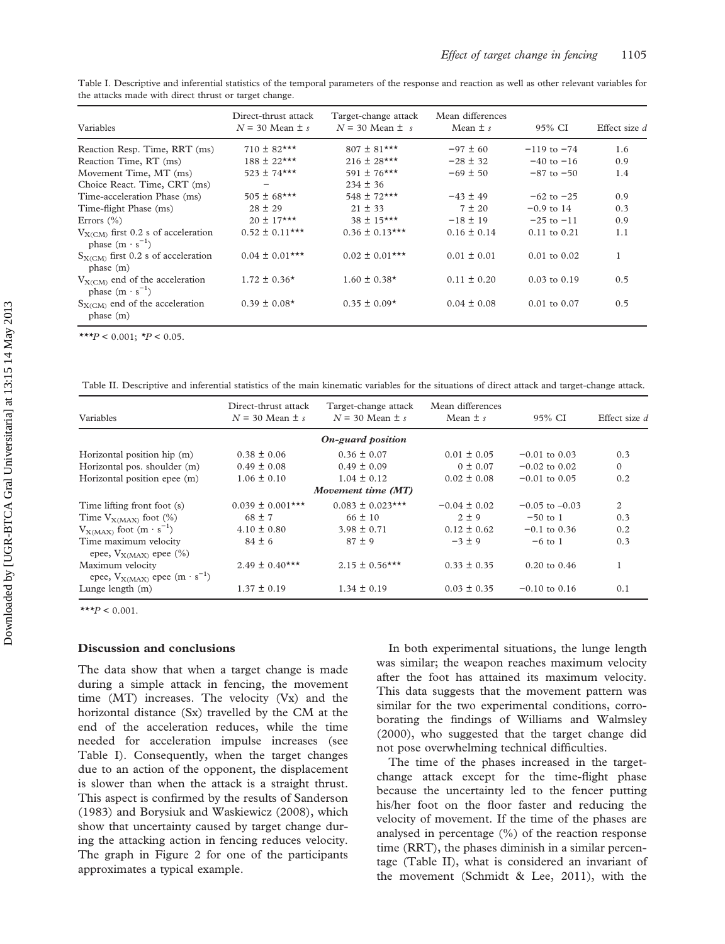| the attacks made with direct thrust or target change.               |                                               |                                               |                                  |                  |                 |  |  |  |
|---------------------------------------------------------------------|-----------------------------------------------|-----------------------------------------------|----------------------------------|------------------|-----------------|--|--|--|
| Variables                                                           | Direct-thrust attack<br>$N = 30$ Mean $\pm s$ | Target-change attack<br>$N = 30$ Mean $\pm s$ | Mean differences<br>Mean $\pm s$ | 95% CI           | Effect size $d$ |  |  |  |
| Reaction Resp. Time, RRT (ms)                                       | $710 \pm 82$ ***                              | $807 \pm 81***$                               | $-97 \pm 60$                     | $-119$ to $-74$  | 1.6             |  |  |  |
| Reaction Time, RT (ms)                                              | $188 \pm 22***$                               | $216 \pm 28$ ***                              | $-28 \pm 32$                     | $-40$ to $-16$   | 0.9             |  |  |  |
| Movement Time, MT (ms)                                              | $523 \pm 74***$                               | $591 \pm 76$ ***                              | $-69 \pm 50$                     | $-87$ to $-50$   | 1.4             |  |  |  |
| Choice React. Time, CRT (ms)                                        |                                               | $234 \pm 36$                                  |                                  |                  |                 |  |  |  |
| Time-acceleration Phase (ms)                                        | 505 ± 68***                                   | $548 \pm 72***$                               | $-43 \pm 49$                     | $-62$ to $-25$   | 0.9             |  |  |  |
| Time-flight Phase (ms)                                              | $28 \pm 29$                                   | $21 \pm 33$                                   | $7 \pm 20$                       | $-0.9$ to 14     | 0.3             |  |  |  |
| Errors $(\% )$                                                      | $20 \pm 17***$                                | $38 \pm 15***$                                | $-18 \pm 19$                     | $-25$ to $-11$   | 0.9             |  |  |  |
| $V_{X(CM)}$ first 0.2 s of acceleration<br>phase $(m \cdot s^{-1})$ | $0.52 \pm 0.11***$                            | $0.36 \pm 0.13***$                            | $0.16 \pm 0.14$                  | 0.11 to 0.21     | 1.1             |  |  |  |
| $S_{X(CM)}$ first 0.2 s of acceleration<br>phase $(m)$              | $0.04 \pm 0.01$ ***                           | $0.02 \pm 0.01$ ***                           | $0.01 \pm 0.01$                  | $0.01$ to $0.02$ |                 |  |  |  |
| $V_{X(CM)}$ end of the acceleration<br>phase $(m \cdot s^{-1})$     | $1.72 \pm 0.36*$                              | $1.60 \pm 0.38*$                              | $0.11 \pm 0.20$                  | $0.03$ to $0.19$ | $0.5^{\circ}$   |  |  |  |
| $S_{X(CM)}$ end of the acceleration<br>phase (m)                    | $0.39 \pm 0.08*$                              | $0.35 \pm 0.09*$                              | $0.04 \pm 0.08$                  | $0.01$ to $0.07$ | $0.5^{\circ}$   |  |  |  |

Table I. Descriptive and inferential statistics of the temporal parameters of the response and reaction as well as other relevant variables for the attacks made with direct thrust or target change.

\*\*\* $P$  < 0.001; \* $P$  < 0.05.

Table II. Descriptive and inferential statistics of the main kinematic variables for the situations of direct attack and target-change attack.

| Variables                                                                | Direct-thrust attack<br>$N = 30$ Mean $\pm s$ | Target-change attack<br>$N = 30$ Mean $\pm s$ | Mean differences<br>Mean $\pm s$ | 95% CI                  | Effect size d |
|--------------------------------------------------------------------------|-----------------------------------------------|-----------------------------------------------|----------------------------------|-------------------------|---------------|
|                                                                          |                                               | <b>On-guard</b> position                      |                                  |                         |               |
| Horizontal position hip (m)                                              | $0.38 \pm 0.06$                               | $0.36 \pm 0.07$                               | $0.01 \pm 0.05$                  | $-0.01$ to 0.03         | 0.3           |
| Horizontal pos. shoulder (m)                                             | $0.49 \pm 0.08$                               | $0.49 \pm 0.09$                               | $0 \pm 0.07$                     | $-0.02$ to 0.02         | $\mathbf{0}$  |
| Horizontal position epee (m)                                             | $1.06 \pm 0.10$                               | $1.04 \pm 0.12$                               | $0.02 \pm 0.08$                  | $-0.01$ to 0.05         | 0.2           |
|                                                                          |                                               | Movement time (MT)                            |                                  |                         |               |
| Time lifting front foot (s)                                              | $0.039 \pm 0.001$ ***                         | $0.083 \pm 0.023$ ***                         | $-0.04 \pm 0.02$                 | $-0.05$ to $-0.03$      | 2             |
| Time $V_{X(MAX)}$ foot $(\%)$                                            | $68 \pm 7$                                    | $66 \pm 10$                                   | $2 \pm 9$                        | $-50$ to 1              | 0.3           |
| $V_{X(MAX)}$ foot $(m \cdot s^{-1})$                                     | $4.10 \pm 0.80$                               | $3.98 \pm 0.71$                               | $0.12 \pm 0.62$                  | $-0.1$ to 0.36          | 0.2           |
| Time maximum velocity<br>epee, $V_{X(MAX)}$ epee $(\%)$                  | $84 \pm 6$                                    | $87 \pm 9$                                    | $-3 \pm 9$                       | $-6$ to 1               | 0.3           |
| Maximum velocity<br>epee, $V_{X(MAX)}$ epee (m $\cdot$ s <sup>-1</sup> ) | $2.49 \pm 0.40$ ***                           | $2.15 \pm 0.56$ ***                           | $0.33 \pm 0.35$                  | $0.20 \text{ to } 0.46$ |               |
| Lunge length $(m)$                                                       | $1.37 \pm 0.19$                               | $1.34 \pm 0.19$                               | $0.03 \pm 0.35$                  | $-0.10$ to 0.16         | 0.1           |

\*\*\* $P < 0.001$ .

#### Discussion and conclusions

The data show that when a target change is made during a simple attack in fencing, the movement time (MT) increases. The velocity (Vx) and the horizontal distance (Sx) travelled by the CM at the end of the acceleration reduces, while the time needed for acceleration impulse increases (see Table I). Consequently, when the target changes due to an action of the opponent, the displacement is slower than when the attack is a straight thrust. This aspect is confirmed by the results of Sanderson (1983) and Borysiuk and Waskiewicz (2008), which show that uncertainty caused by target change during the attacking action in fencing reduces velocity. The graph in Figure 2 for one of the participants approximates a typical example.

In both experimental situations, the lunge length was similar; the weapon reaches maximum velocity after the foot has attained its maximum velocity. This data suggests that the movement pattern was similar for the two experimental conditions, corroborating the findings of Williams and Walmsley (2000), who suggested that the target change did not pose overwhelming technical difficulties.

The time of the phases increased in the targetchange attack except for the time-flight phase because the uncertainty led to the fencer putting his/her foot on the floor faster and reducing the velocity of movement. If the time of the phases are analysed in percentage (%) of the reaction response time (RRT), the phases diminish in a similar percentage (Table II), what is considered an invariant of the movement (Schmidt & Lee, 2011), with the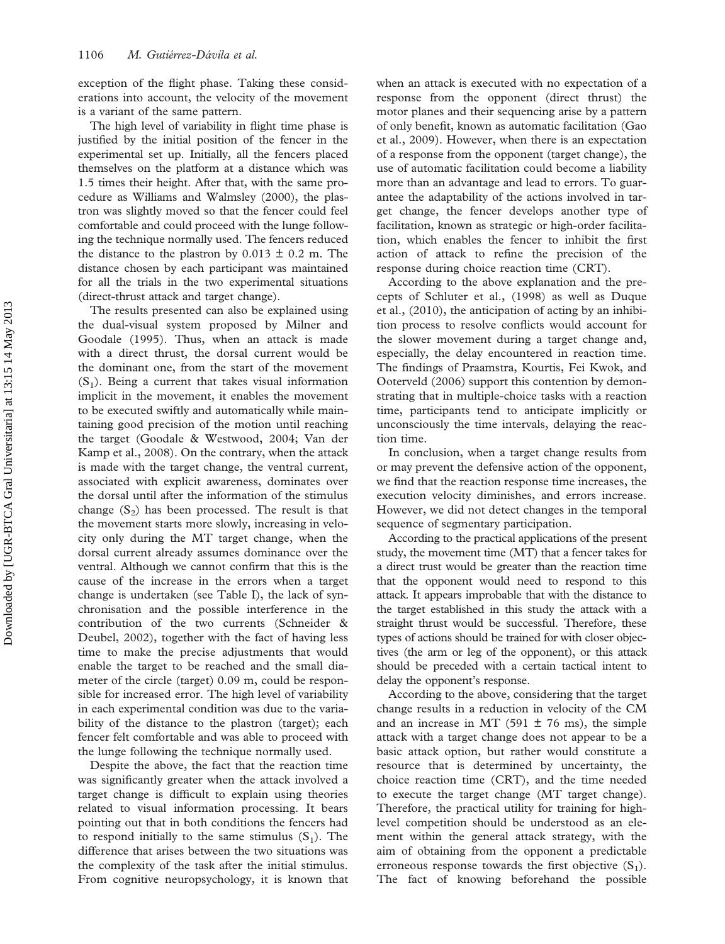exception of the flight phase. Taking these considerations into account, the velocity of the movement is a variant of the same pattern.

The high level of variability in flight time phase is justified by the initial position of the fencer in the experimental set up. Initially, all the fencers placed themselves on the platform at a distance which was 1.5 times their height. After that, with the same procedure as Williams and Walmsley (2000), the plastron was slightly moved so that the fencer could feel comfortable and could proceed with the lunge following the technique normally used. The fencers reduced the distance to the plastron by  $0.013 \pm 0.2$  m. The distance chosen by each participant was maintained for all the trials in the two experimental situations (direct-thrust attack and target change).

The results presented can also be explained using the dual-visual system proposed by Milner and Goodale (1995). Thus, when an attack is made with a direct thrust, the dorsal current would be the dominant one, from the start of the movement  $(S_1)$ . Being a current that takes visual information implicit in the movement, it enables the movement to be executed swiftly and automatically while maintaining good precision of the motion until reaching the target (Goodale & Westwood, 2004; Van der Kamp et al., 2008). On the contrary, when the attack is made with the target change, the ventral current, associated with explicit awareness, dominates over the dorsal until after the information of the stimulus change  $(S_2)$  has been processed. The result is that the movement starts more slowly, increasing in velocity only during the MT target change, when the dorsal current already assumes dominance over the ventral. Although we cannot confirm that this is the cause of the increase in the errors when a target change is undertaken (see Table I), the lack of synchronisation and the possible interference in the contribution of the two currents (Schneider & Deubel, 2002), together with the fact of having less time to make the precise adjustments that would enable the target to be reached and the small diameter of the circle (target) 0.09 m, could be responsible for increased error. The high level of variability in each experimental condition was due to the variability of the distance to the plastron (target); each fencer felt comfortable and was able to proceed with the lunge following the technique normally used.

Despite the above, the fact that the reaction time was significantly greater when the attack involved a target change is difficult to explain using theories related to visual information processing. It bears pointing out that in both conditions the fencers had to respond initially to the same stimulus  $(S_1)$ . The difference that arises between the two situations was the complexity of the task after the initial stimulus. From cognitive neuropsychology, it is known that

when an attack is executed with no expectation of a response from the opponent (direct thrust) the motor planes and their sequencing arise by a pattern of only benefit, known as automatic facilitation (Gao et al., 2009). However, when there is an expectation of a response from the opponent (target change), the use of automatic facilitation could become a liability more than an advantage and lead to errors. To guarantee the adaptability of the actions involved in target change, the fencer develops another type of facilitation, known as strategic or high-order facilitation, which enables the fencer to inhibit the first action of attack to refine the precision of the response during choice reaction time (CRT).

According to the above explanation and the precepts of Schluter et al., (1998) as well as Duque et al., (2010), the anticipation of acting by an inhibition process to resolve conflicts would account for the slower movement during a target change and, especially, the delay encountered in reaction time. The findings of Praamstra, Kourtis, Fei Kwok, and Ooterveld (2006) support this contention by demonstrating that in multiple-choice tasks with a reaction time, participants tend to anticipate implicitly or unconsciously the time intervals, delaying the reaction time.

In conclusion, when a target change results from or may prevent the defensive action of the opponent, we find that the reaction response time increases, the execution velocity diminishes, and errors increase. However, we did not detect changes in the temporal sequence of segmentary participation.

According to the practical applications of the present study, the movement time (MT) that a fencer takes for a direct trust would be greater than the reaction time that the opponent would need to respond to this attack. It appears improbable that with the distance to the target established in this study the attack with a straight thrust would be successful. Therefore, these types of actions should be trained for with closer objectives (the arm or leg of the opponent), or this attack should be preceded with a certain tactical intent to delay the opponent's response.

According to the above, considering that the target change results in a reduction in velocity of the CM and an increase in MT (591  $\pm$  76 ms), the simple attack with a target change does not appear to be a basic attack option, but rather would constitute a resource that is determined by uncertainty, the choice reaction time (CRT), and the time needed to execute the target change (MT target change). Therefore, the practical utility for training for highlevel competition should be understood as an element within the general attack strategy, with the aim of obtaining from the opponent a predictable erroneous response towards the first objective  $(S_1)$ . The fact of knowing beforehand the possible